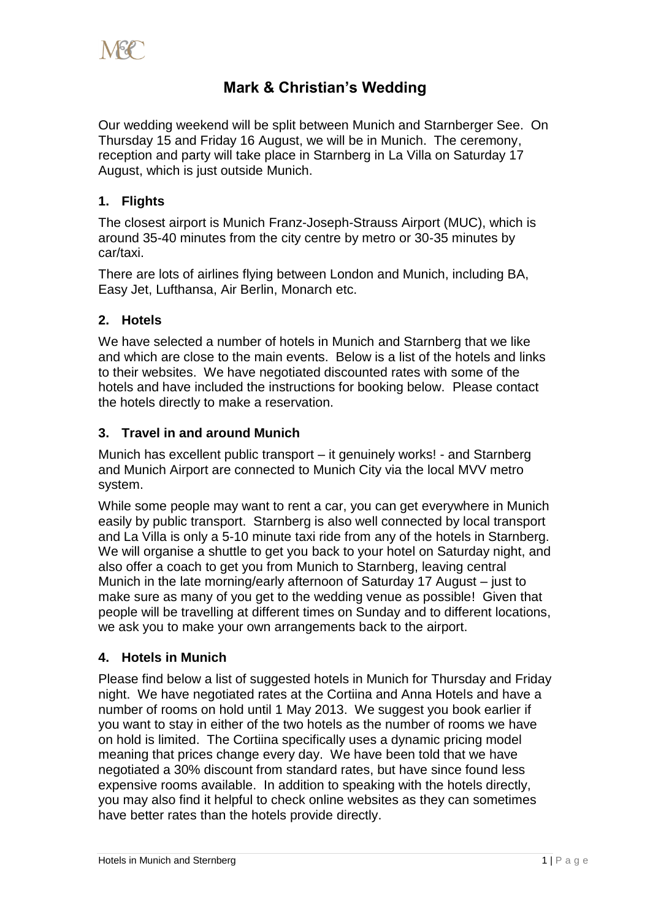

# **Mark & Christian's Wedding**

Our wedding weekend will be split between Munich and Starnberger See. On Thursday 15 and Friday 16 August, we will be in Munich. The ceremony, reception and party will take place in Starnberg in La Villa on Saturday 17 August, which is just outside Munich.

# **1. Flights**

The closest airport is Munich Franz-Joseph-Strauss Airport (MUC), which is around 35-40 minutes from the city centre by metro or 30-35 minutes by car/taxi.

There are lots of airlines flying between London and Munich, including BA, Easy Jet, Lufthansa, Air Berlin, Monarch etc.

# **2. Hotels**

We have selected a number of hotels in Munich and Starnberg that we like and which are close to the main events. Below is a list of the hotels and links to their websites. We have negotiated discounted rates with some of the hotels and have included the instructions for booking below. Please contact the hotels directly to make a reservation.

### **3. Travel in and around Munich**

Munich has excellent public transport – it genuinely works! - and Starnberg and Munich Airport are connected to Munich City via the local MVV metro system.

While some people may want to rent a car, you can get everywhere in Munich easily by public transport. Starnberg is also well connected by local transport and La Villa is only a 5-10 minute taxi ride from any of the hotels in Starnberg. We will organise a shuttle to get you back to your hotel on Saturday night, and also offer a coach to get you from Munich to Starnberg, leaving central Munich in the late morning/early afternoon of Saturday 17 August – just to make sure as many of you get to the wedding venue as possible! Given that people will be travelling at different times on Sunday and to different locations, we ask you to make your own arrangements back to the airport.

# **4. Hotels in Munich**

Please find below a list of suggested hotels in Munich for Thursday and Friday night. We have negotiated rates at the Cortiina and Anna Hotels and have a number of rooms on hold until 1 May 2013. We suggest you book earlier if you want to stay in either of the two hotels as the number of rooms we have on hold is limited. The Cortiina specifically uses a dynamic pricing model meaning that prices change every day. We have been told that we have negotiated a 30% discount from standard rates, but have since found less expensive rooms available. In addition to speaking with the hotels directly, you may also find it helpful to check online websites as they can sometimes have better rates than the hotels provide directly.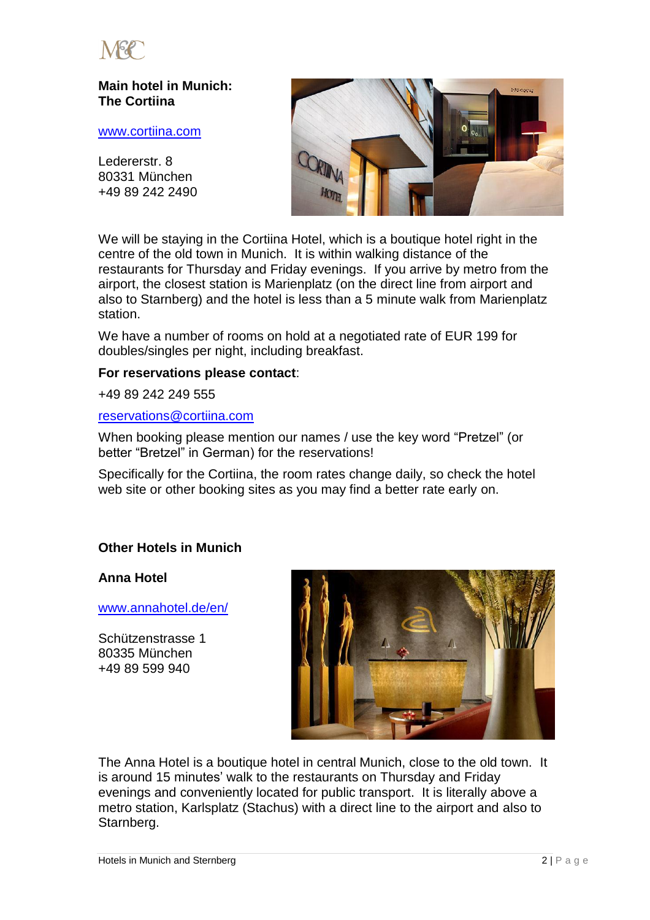

# **Main hotel in Munich: The Cortiina**

#### [www.cortiina.com](http://www.cortiina.com/)

Ledererstr. 8 80331 München +49 89 242 2490



We will be staying in the Cortiina Hotel, which is a boutique hotel right in the centre of the old town in Munich. It is within walking distance of the restaurants for Thursday and Friday evenings. If you arrive by metro from the airport, the closest station is Marienplatz (on the direct line from airport and also to Starnberg) and the hotel is less than a 5 minute walk from Marienplatz station.

We have a number of rooms on hold at a negotiated rate of EUR 199 for doubles/singles per night, including breakfast.

#### **For reservations please contact**:

+49 89 242 249 555

#### [reservations@cortiina.com](mailto:reservations@cortiina.com)

When booking please mention our names / use the key word "Pretzel" (or better "Bretzel" in German) for the reservations!

Specifically for the Cortiina, the room rates change daily, so check the hotel web site or other booking sites as you may find a better rate early on.

## **Other Hotels in Munich**

**Anna Hotel**

[www.annahotel.de/en/](http://www.annahotel.de/en/)

Schützenstrasse 1 80335 München +49 89 599 940



The Anna Hotel is a boutique hotel in central Munich, close to the old town. It is around 15 minutes' walk to the restaurants on Thursday and Friday evenings and conveniently located for public transport. It is literally above a metro station, Karlsplatz (Stachus) with a direct line to the airport and also to Starnberg.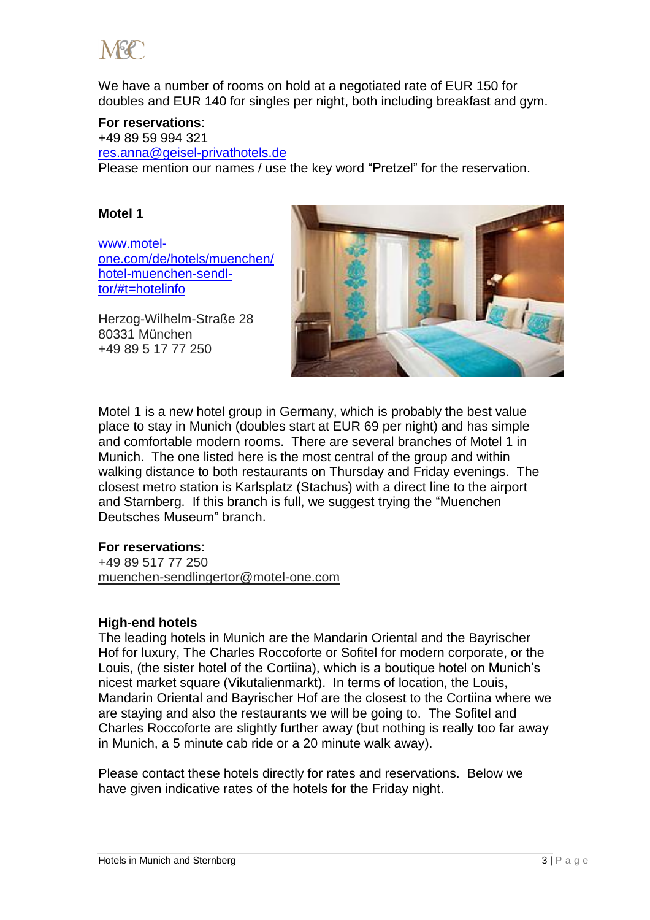

We have a number of rooms on hold at a negotiated rate of EUR 150 for doubles and EUR 140 for singles per night, both including breakfast and gym.

#### **For reservations**:

+49 89 59 994 321 [res.anna@geisel-privathotels.de](mailto:res.anna@geisel-privathotels.de) Please mention our names / use the key word "Pretzel" for the reservation.

### **Motel 1**

[www.motel](http://www.motel-one.com/de/hotels/muenchen/hotel-muenchen-sendl-tor/#t=hotelinfo)[one.com/de/hotels/muenchen/](http://www.motel-one.com/de/hotels/muenchen/hotel-muenchen-sendl-tor/#t=hotelinfo) [hotel-muenchen-sendl](http://www.motel-one.com/de/hotels/muenchen/hotel-muenchen-sendl-tor/#t=hotelinfo)[tor/#t=hotelinfo](http://www.motel-one.com/de/hotels/muenchen/hotel-muenchen-sendl-tor/#t=hotelinfo)



Herzog-Wilhelm-Straße 28 80331 München +49 89 5 17 77 250

Motel 1 is a new hotel group in Germany, which is probably the best value place to stay in Munich (doubles start at EUR 69 per night) and has simple and comfortable modern rooms. There are several branches of Motel 1 in Munich. The one listed here is the most central of the group and within walking distance to both restaurants on Thursday and Friday evenings. The closest metro station is Karlsplatz (Stachus) with a direct line to the airport and Starnberg. If this branch is full, we suggest trying the "Muenchen Deutsches Museum" branch.

#### **For reservations**:

+49 89 517 77 250 [muenchen-sendlingertor@motel-one.com](javascript:linkTo_UnCryptMailto()

#### **High-end hotels**

The leading hotels in Munich are the Mandarin Oriental and the Bayrischer Hof for luxury, The Charles Roccoforte or Sofitel for modern corporate, or the Louis, (the sister hotel of the Cortiina), which is a boutique hotel on Munich's nicest market square (Vikutalienmarkt). In terms of location, the Louis, Mandarin Oriental and Bayrischer Hof are the closest to the Cortiina where we are staying and also the restaurants we will be going to. The Sofitel and Charles Roccoforte are slightly further away (but nothing is really too far away in Munich, a 5 minute cab ride or a 20 minute walk away).

Please contact these hotels directly for rates and reservations. Below we have given indicative rates of the hotels for the Friday night.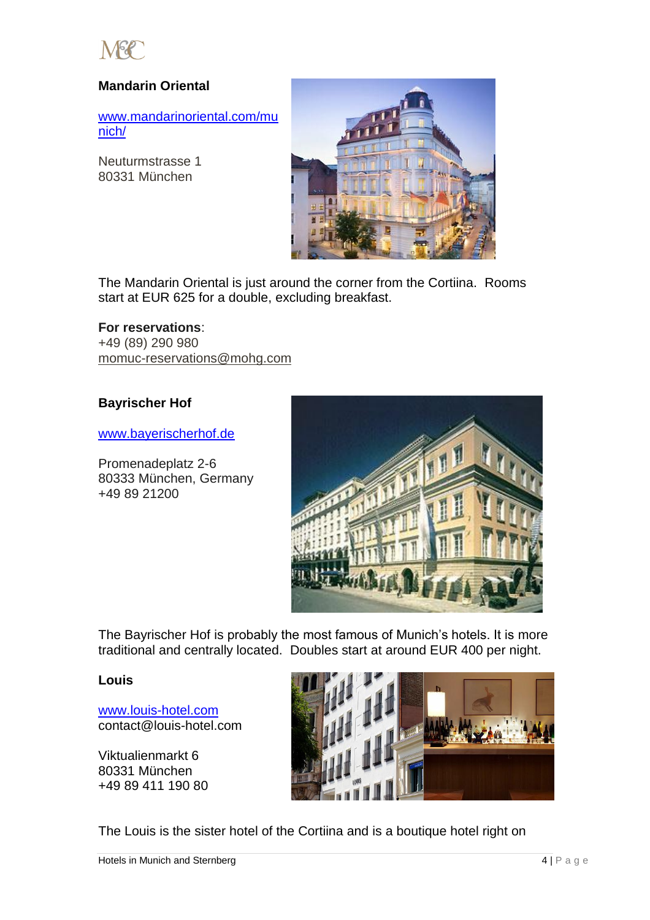

# **Mandarin Oriental**

[www.mandarinoriental.com/mu](http://www.mandarinoriental.com/munich/) [nich/](http://www.mandarinoriental.com/munich/)

Neuturmstrasse 1 80331 München



The Mandarin Oriental is just around the corner from the Cortiina. Rooms start at EUR 625 for a double, excluding breakfast.

#### **For reservations**:

+49 (89) 290 980 [momuc-reservations@mohg.com](mailto:momuc-reservations@mohg.com)

### **Bayrischer Hof**

[www.bayerischerhof.de](http://www.bayerischerhof.de/)

Promenadeplatz 2-6 80333 München, Germany +49 89 21200



The Bayrischer Hof is probably the most famous of Munich's hotels. It is more traditional and centrally located. Doubles start at around EUR 400 per night.

#### **Louis**

[www.louis-hotel.com](http://www.louis-hotel.com/) contact@louis-hotel.com

Viktualienmarkt 6 80331 München +49 89 411 190 80



The Louis is the sister hotel of the Cortiina and is a boutique hotel right on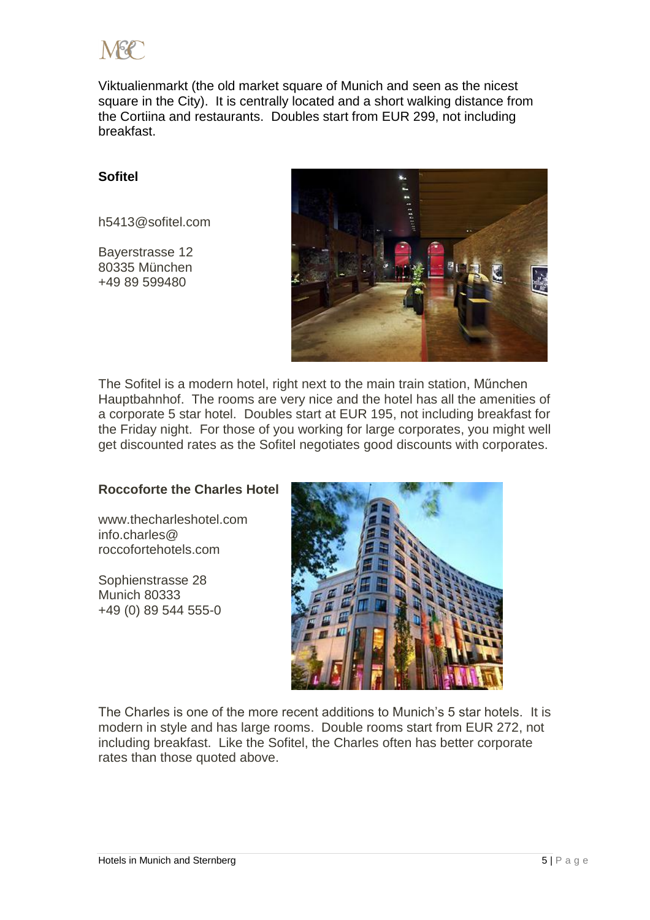

Viktualienmarkt (the old market square of Munich and seen as the nicest square in the City). It is centrally located and a short walking distance from the Cortiina and restaurants. Doubles start from EUR 299, not including breakfast.

## **Sofitel**

[h5413@sofitel.com](mailto:h5413@sofitel.com)

Bayerstrasse 12 80335 München +49 89 599480



The Sofitel is a modern hotel, right next to the main train station, Műnchen Hauptbahnhof. The rooms are very nice and the hotel has all the amenities of a corporate 5 star hotel. Doubles start at EUR 195, not including breakfast for the Friday night. For those of you working for large corporates, you might well get discounted rates as the Sofitel negotiates good discounts with corporates.

# **Roccoforte the Charles Hotel**

[www.thecharleshotel.com](http://www.thecharleshotel.com/) [info.charles@](mailto:info.charles@roccofortehotels.com) [roccofortehotels.com](mailto:info.charles@roccofortehotels.com)

Sophienstrasse 28 Munich 80333 +49 (0) 89 544 555-0



The Charles is one of the more recent additions to Munich's 5 star hotels. It is modern in style and has large rooms. Double rooms start from EUR 272, not including breakfast. Like the Sofitel, the Charles often has better corporate rates than those quoted above.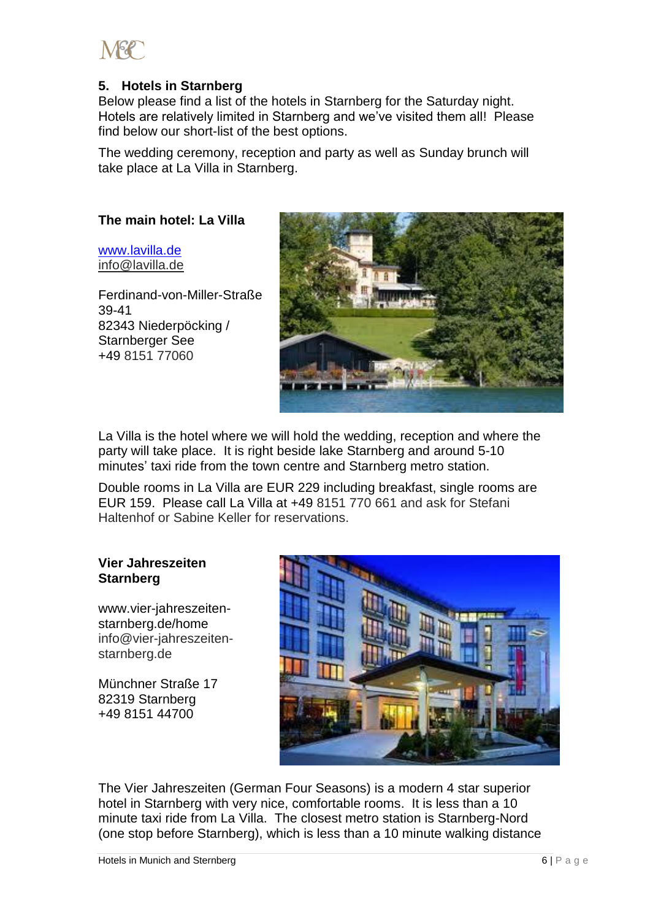

# **5. Hotels in Starnberg**

Below please find a list of the hotels in Starnberg for the Saturday night. Hotels are relatively limited in Starnberg and we've visited them all! Please find below our short-list of the best options.

The wedding ceremony, reception and party as well as Sunday brunch will take place at La Villa in Starnberg.

### **The main hotel: La Villa**

[www.lavilla.de](http://www.lavilla.de/) [info@lavilla.de](mailto:info@lavilla.de)

Ferdinand-von-Miller-Straße 39-41 82343 Niederpöcking / Starnberger See +49 8151 77060



La Villa is the hotel where we will hold the wedding, reception and where the party will take place. It is right beside lake Starnberg and around 5-10 minutes' taxi ride from the town centre and Starnberg metro station.

Double rooms in La Villa are EUR 229 including breakfast, single rooms are EUR 159. Please call La Villa at +49 8151 770 661 and ask for Stefani Haltenhof or Sabine Keller for reservations.

#### **Vier Jahreszeiten Starnberg**

www.vier-jahreszeitenstarnberg.de/home [info@vier-jahreszeiten](mailto:info@vier-jahreszeiten-starnberg.de)[starnberg.de](mailto:info@vier-jahreszeiten-starnberg.de)

Münchner Straße 17 82319 Starnberg +49 8151 44700



The Vier Jahreszeiten (German Four Seasons) is a modern 4 star superior hotel in Starnberg with very nice, comfortable rooms. It is less than a 10 minute taxi ride from La Villa. The closest metro station is Starnberg-Nord (one stop before Starnberg), which is less than a 10 minute walking distance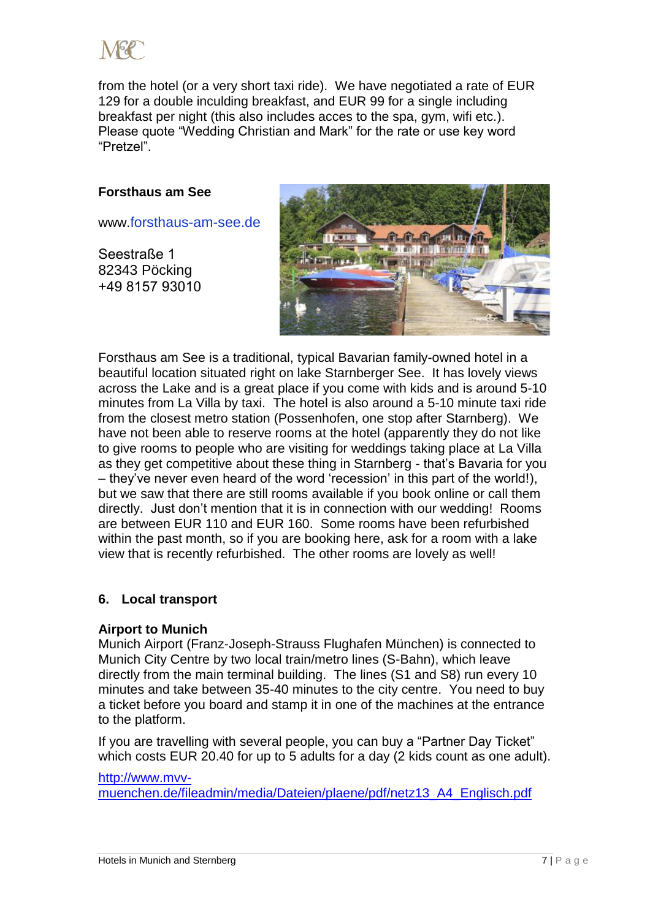

from the hotel (or a very short taxi ride). We have negotiated a rate of EUR 129 for a double inculding breakfast, and EUR 99 for a single including breakfast per night (this also includes acces to the spa, gym, wifi etc.). Please quote "Wedding Christian and Mark" for the rate or use key word "Pretzel".

#### **Forsthaus am See**

www.[forsthaus-am-see.de](http://maps.google.co.uk/local_url?dq=Forsthaus+Am+See,+Seestra%C3%9Fe,+P%C3%B6cking,+Germany&q=http://www.forsthaus-am-see.de/&oi=miw&sa=X&ct=miw_link&cd=1&cad=homepage,cid:9601068079276803925&ei=3hTzUN7WNaH6iQad8oHYCw&s=ANYYN7naxSGMI3l9Xv_MJrSG6KmteFwcdw)

Seestraße 1 82343 Pöcking +49 8157 93010



Forsthaus am See is a traditional, typical Bavarian family-owned hotel in a beautiful location situated right on lake Starnberger See. It has lovely views across the Lake and is a great place if you come with kids and is around 5-10 minutes from La Villa by taxi. The hotel is also around a 5-10 minute taxi ride from the closest metro station (Possenhofen, one stop after Starnberg). We have not been able to reserve rooms at the hotel (apparently they do not like to give rooms to people who are visiting for weddings taking place at La Villa as they get competitive about these thing in Starnberg - that's Bavaria for you – they've never even heard of the word 'recession' in this part of the world!), but we saw that there are still rooms available if you book online or call them directly. Just don't mention that it is in connection with our wedding! Rooms are between EUR 110 and EUR 160. Some rooms have been refurbished within the past month, so if you are booking here, ask for a room with a lake view that is recently refurbished. The other rooms are lovely as well!

#### **6. Local transport**

#### **Airport to Munich**

Munich Airport (Franz-Joseph-Strauss Flughafen München) is connected to Munich City Centre by two local train/metro lines (S-Bahn), which leave directly from the main terminal building. The lines (S1 and S8) run every 10 minutes and take between 35-40 minutes to the city centre. You need to buy a ticket before you board and stamp it in one of the machines at the entrance to the platform.

If you are travelling with several people, you can buy a "Partner Day Ticket" which costs EUR 20.40 for up to 5 adults for a day (2 kids count as one adult).

[http://www.mvv-](http://www.mvv-muenchen.de/fileadmin/media/Dateien/plaene/pdf/netz13_A4_Englisch.pdf)

[muenchen.de/fileadmin/media/Dateien/plaene/pdf/netz13\\_A4\\_Englisch.pdf](http://www.mvv-muenchen.de/fileadmin/media/Dateien/plaene/pdf/netz13_A4_Englisch.pdf)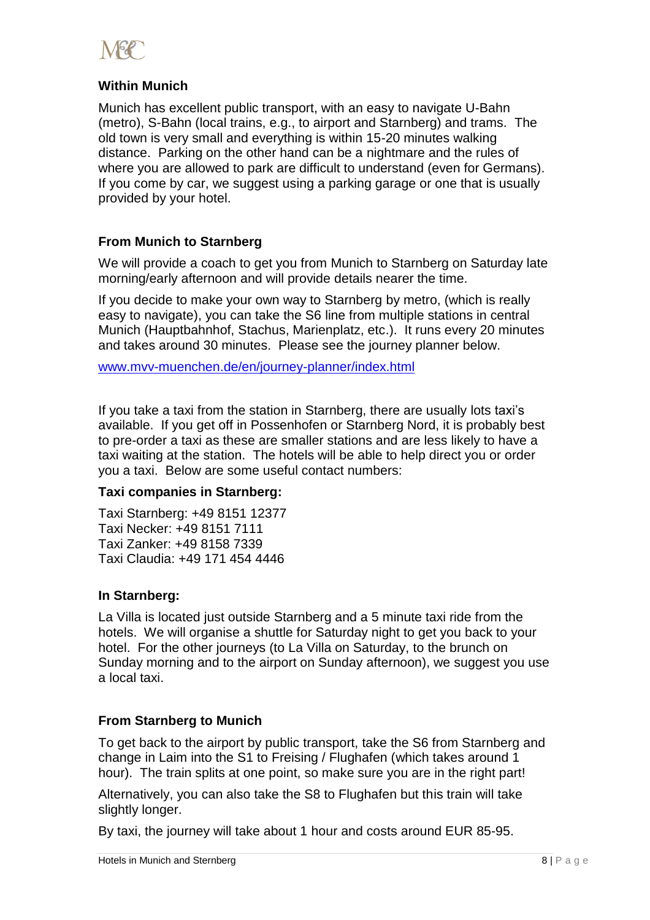

# **Within Munich**

Munich has excellent public transport, with an easy to navigate U-Bahn (metro), S-Bahn (local trains, e.g., to airport and Starnberg) and trams. The old town is very small and everything is within 15-20 minutes walking distance. Parking on the other hand can be a nightmare and the rules of where you are allowed to park are difficult to understand (even for Germans). If you come by car, we suggest using a parking garage or one that is usually provided by your hotel.

# **From Munich to Starnberg**

We will provide a coach to get you from Munich to Starnberg on Saturday late morning/early afternoon and will provide details nearer the time.

If you decide to make your own way to Starnberg by metro, (which is really easy to navigate), you can take the S6 line from multiple stations in central Munich (Hauptbahnhof, Stachus, Marienplatz, etc.). It runs every 20 minutes and takes around 30 minutes. Please see the journey planner below.

[www.mvv-muenchen.de/en/journey-planner/index.html](http://www.mvv-muenchen.de/en/journey-planner/index.html)

If you take a taxi from the station in Starnberg, there are usually lots taxi's available. If you get off in Possenhofen or Starnberg Nord, it is probably best to pre-order a taxi as these are smaller stations and are less likely to have a taxi waiting at the station. The hotels will be able to help direct you or order you a taxi. Below are some useful contact numbers:

# **Taxi companies in Starnberg:**

Taxi Starnberg: +49 8151 12377 Taxi Necker: +49 8151 7111 Taxi Zanker: +49 8158 7339 Taxi Claudia: +49 171 454 4446

# **In Starnberg:**

La Villa is located just outside Starnberg and a 5 minute taxi ride from the hotels. We will organise a shuttle for Saturday night to get you back to your hotel. For the other journeys (to La Villa on Saturday, to the brunch on Sunday morning and to the airport on Sunday afternoon), we suggest you use a local taxi.

# **From Starnberg to Munich**

To get back to the airport by public transport, take the S6 from Starnberg and change in Laim into the S1 to Freising / Flughafen (which takes around 1 hour). The train splits at one point, so make sure you are in the right part!

Alternatively, you can also take the S8 to Flughafen but this train will take slightly longer.

By taxi, the journey will take about 1 hour and costs around EUR 85-95.